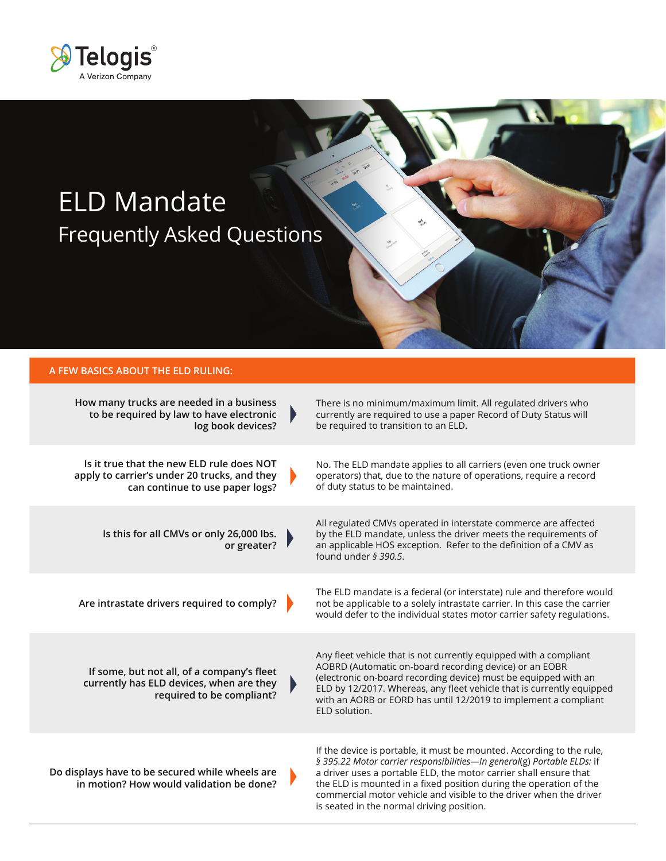

# ELD Mandate Frequently Asked Questions

### **A FEW BASICS ABOUT THE ELD RULING:**

| How many trucks are needed in a business<br>to be required by law to have electronic<br>log book devices?                    | $\blacktriangleright$ | There is no minimum/maximum limit. All regulated drivers who<br>currently are required to use a paper Record of Duty Status will<br>be required to transition to an ELD.                                                                                                                                                                                                                                       |
|------------------------------------------------------------------------------------------------------------------------------|-----------------------|----------------------------------------------------------------------------------------------------------------------------------------------------------------------------------------------------------------------------------------------------------------------------------------------------------------------------------------------------------------------------------------------------------------|
| Is it true that the new ELD rule does NOT<br>apply to carrier's under 20 trucks, and they<br>can continue to use paper logs? |                       | No. The ELD mandate applies to all carriers (even one truck owner<br>operators) that, due to the nature of operations, require a record<br>of duty status to be maintained.                                                                                                                                                                                                                                    |
| Is this for all CMVs or only 26,000 lbs.<br>or greater?                                                                      |                       | All regulated CMVs operated in interstate commerce are affected<br>by the ELD mandate, unless the driver meets the requirements of<br>an applicable HOS exception. Refer to the definition of a CMV as<br>found under $\frac{5}{2}$ 390.5.                                                                                                                                                                     |
| Are intrastate drivers required to comply?                                                                                   |                       | The ELD mandate is a federal (or interstate) rule and therefore would<br>not be applicable to a solely intrastate carrier. In this case the carrier<br>would defer to the individual states motor carrier safety regulations.                                                                                                                                                                                  |
| If some, but not all, of a company's fleet<br>currently has ELD devices, when are they<br>required to be compliant?          | $\blacktriangleright$ | Any fleet vehicle that is not currently equipped with a compliant<br>AOBRD (Automatic on-board recording device) or an EOBR<br>(electronic on-board recording device) must be equipped with an<br>ELD by 12/2017. Whereas, any fleet vehicle that is currently equipped<br>with an AORB or EORD has until 12/2019 to implement a compliant<br>ELD solution.                                                    |
| Do displays have to be secured while wheels are<br>in motion? How would validation be done?                                  |                       | If the device is portable, it must be mounted. According to the rule,<br>§ 395.22 Motor carrier responsibilities-In general(g) Portable ELDs: if<br>a driver uses a portable ELD, the motor carrier shall ensure that<br>the ELD is mounted in a fixed position during the operation of the<br>commercial motor vehicle and visible to the driver when the driver<br>is seated in the normal driving position. |

of.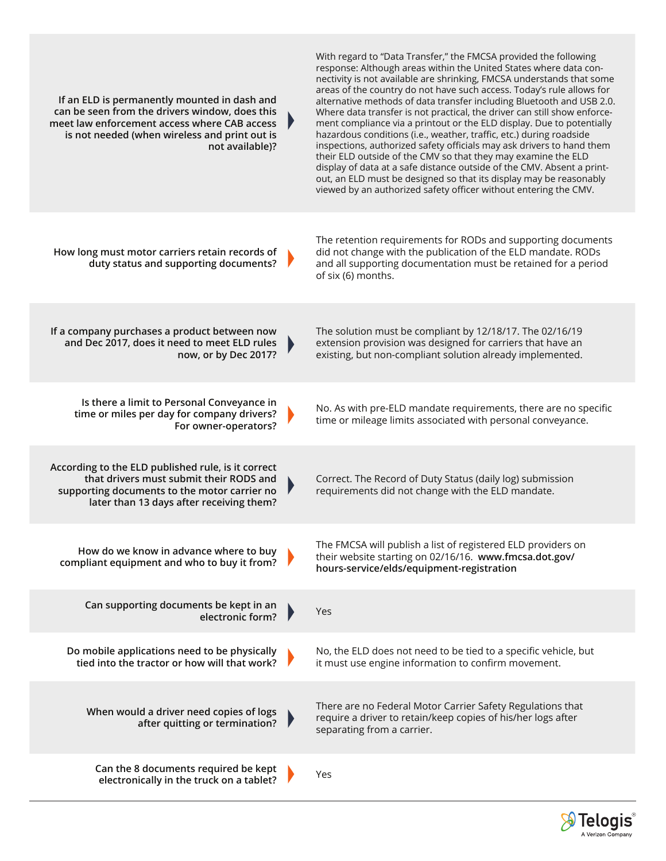| If an ELD is permanently mounted in dash and<br>can be seen from the drivers window, does this<br>meet law enforcement access where CAB access<br>is not needed (when wireless and print out is<br>not available)? | ₽ | With regard to "Data Transfer," the FMCSA provided the following<br>response: Although areas within the United States where data con-<br>nectivity is not available are shrinking, FMCSA understands that some<br>areas of the country do not have such access. Today's rule allows for<br>alternative methods of data transfer including Bluetooth and USB 2.0.<br>Where data transfer is not practical, the driver can still show enforce-<br>ment compliance via a printout or the ELD display. Due to potentially<br>hazardous conditions (i.e., weather, traffic, etc.) during roadside<br>inspections, authorized safety officials may ask drivers to hand them<br>their ELD outside of the CMV so that they may examine the ELD<br>display of data at a safe distance outside of the CMV. Absent a print-<br>out, an ELD must be designed so that its display may be reasonably<br>viewed by an authorized safety officer without entering the CMV. |
|--------------------------------------------------------------------------------------------------------------------------------------------------------------------------------------------------------------------|---|------------------------------------------------------------------------------------------------------------------------------------------------------------------------------------------------------------------------------------------------------------------------------------------------------------------------------------------------------------------------------------------------------------------------------------------------------------------------------------------------------------------------------------------------------------------------------------------------------------------------------------------------------------------------------------------------------------------------------------------------------------------------------------------------------------------------------------------------------------------------------------------------------------------------------------------------------------|
| How long must motor carriers retain records of<br>duty status and supporting documents?                                                                                                                            |   | The retention requirements for RODs and supporting documents<br>did not change with the publication of the ELD mandate. RODs<br>and all supporting documentation must be retained for a period<br>of six (6) months.                                                                                                                                                                                                                                                                                                                                                                                                                                                                                                                                                                                                                                                                                                                                       |
| If a company purchases a product between now<br>and Dec 2017, does it need to meet ELD rules<br>now, or by Dec 2017?                                                                                               |   | The solution must be compliant by 12/18/17. The 02/16/19<br>extension provision was designed for carriers that have an<br>existing, but non-compliant solution already implemented.                                                                                                                                                                                                                                                                                                                                                                                                                                                                                                                                                                                                                                                                                                                                                                        |
| Is there a limit to Personal Conveyance in<br>time or miles per day for company drivers?<br>For owner-operators?                                                                                                   | Þ | No. As with pre-ELD mandate requirements, there are no specific<br>time or mileage limits associated with personal conveyance.                                                                                                                                                                                                                                                                                                                                                                                                                                                                                                                                                                                                                                                                                                                                                                                                                             |
| According to the ELD published rule, is it correct<br>that drivers must submit their RODS and<br>supporting documents to the motor carrier no<br>later than 13 days after receiving them?                          |   | Correct. The Record of Duty Status (daily log) submission<br>requirements did not change with the ELD mandate.                                                                                                                                                                                                                                                                                                                                                                                                                                                                                                                                                                                                                                                                                                                                                                                                                                             |
| How do we know in advance where to buy<br>compliant equipment and who to buy it from?                                                                                                                              |   | The FMCSA will publish a list of registered ELD providers on<br>their website starting on 02/16/16. www.fmcsa.dot.gov/<br>hours-service/elds/equipment-registration                                                                                                                                                                                                                                                                                                                                                                                                                                                                                                                                                                                                                                                                                                                                                                                        |
| Can supporting documents be kept in an<br>electronic form?                                                                                                                                                         |   | Yes                                                                                                                                                                                                                                                                                                                                                                                                                                                                                                                                                                                                                                                                                                                                                                                                                                                                                                                                                        |
| Do mobile applications need to be physically<br>tied into the tractor or how will that work?                                                                                                                       |   | No, the ELD does not need to be tied to a specific vehicle, but<br>it must use engine information to confirm movement.                                                                                                                                                                                                                                                                                                                                                                                                                                                                                                                                                                                                                                                                                                                                                                                                                                     |
| When would a driver need copies of logs<br>after quitting or termination?                                                                                                                                          |   | There are no Federal Motor Carrier Safety Regulations that<br>require a driver to retain/keep copies of his/her logs after<br>separating from a carrier.                                                                                                                                                                                                                                                                                                                                                                                                                                                                                                                                                                                                                                                                                                                                                                                                   |
| Can the 8 documents required be kept<br>electronically in the truck on a tablet?                                                                                                                                   |   | Yes                                                                                                                                                                                                                                                                                                                                                                                                                                                                                                                                                                                                                                                                                                                                                                                                                                                                                                                                                        |

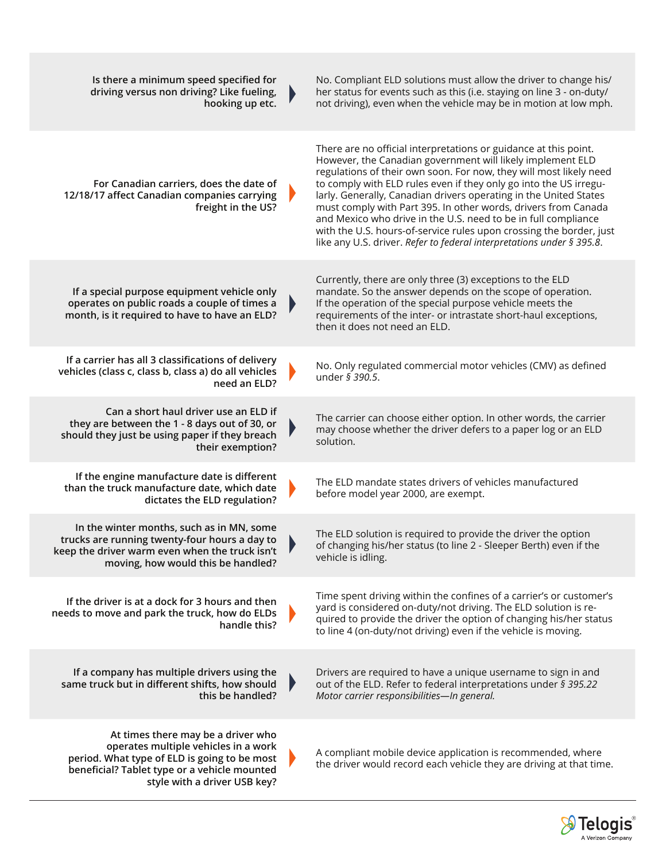| Is there a minimum speed specified for<br>driving versus non driving? Like fueling,<br>hooking up etc.                                                                                                     | Þ                     | No. Compliant ELD solutions must allow the driver to change his/<br>her status for events such as this (i.e. staying on line 3 - on-duty/<br>not driving), even when the vehicle may be in motion at low mph.                                                                                                                                                                                                                                                                                                                                                                                                                      |
|------------------------------------------------------------------------------------------------------------------------------------------------------------------------------------------------------------|-----------------------|------------------------------------------------------------------------------------------------------------------------------------------------------------------------------------------------------------------------------------------------------------------------------------------------------------------------------------------------------------------------------------------------------------------------------------------------------------------------------------------------------------------------------------------------------------------------------------------------------------------------------------|
| For Canadian carriers, does the date of<br>12/18/17 affect Canadian companies carrying<br>freight in the US?                                                                                               |                       | There are no official interpretations or guidance at this point.<br>However, the Canadian government will likely implement ELD<br>regulations of their own soon. For now, they will most likely need<br>to comply with ELD rules even if they only go into the US irregu-<br>larly. Generally, Canadian drivers operating in the United States<br>must comply with Part 395. In other words, drivers from Canada<br>and Mexico who drive in the U.S. need to be in full compliance<br>with the U.S. hours-of-service rules upon crossing the border, just<br>like any U.S. driver. Refer to federal interpretations under § 395.8. |
| If a special purpose equipment vehicle only<br>operates on public roads a couple of times a<br>month, is it required to have to have an ELD?                                                               | $\blacktriangleright$ | Currently, there are only three (3) exceptions to the ELD<br>mandate. So the answer depends on the scope of operation.<br>If the operation of the special purpose vehicle meets the<br>requirements of the inter- or intrastate short-haul exceptions,<br>then it does not need an ELD.                                                                                                                                                                                                                                                                                                                                            |
| If a carrier has all 3 classifications of delivery<br>vehicles (class c, class b, class a) do all vehicles<br>need an ELD?                                                                                 |                       | No. Only regulated commercial motor vehicles (CMV) as defined<br>under § 390.5.                                                                                                                                                                                                                                                                                                                                                                                                                                                                                                                                                    |
| Can a short haul driver use an ELD if<br>they are between the 1 - 8 days out of 30, or<br>should they just be using paper if they breach<br>their exemption?                                               |                       | The carrier can choose either option. In other words, the carrier<br>may choose whether the driver defers to a paper log or an ELD<br>solution.                                                                                                                                                                                                                                                                                                                                                                                                                                                                                    |
| If the engine manufacture date is different<br>than the truck manufacture date, which date<br>dictates the ELD regulation?                                                                                 |                       | The ELD mandate states drivers of vehicles manufactured<br>before model year 2000, are exempt.                                                                                                                                                                                                                                                                                                                                                                                                                                                                                                                                     |
| In the winter months, such as in MN, some<br>trucks are running twenty-four hours a day to<br>keep the driver warm even when the truck isn't<br>moving, how would this be handled?                         |                       | The ELD solution is required to provide the driver the option<br>of changing his/her status (to line 2 - Sleeper Berth) even if the<br>vehicle is idling.                                                                                                                                                                                                                                                                                                                                                                                                                                                                          |
| If the driver is at a dock for 3 hours and then<br>needs to move and park the truck, how do ELDs<br>handle this?                                                                                           |                       | Time spent driving within the confines of a carrier's or customer's<br>yard is considered on-duty/not driving. The ELD solution is re-<br>quired to provide the driver the option of changing his/her status<br>to line 4 (on-duty/not driving) even if the vehicle is moving.                                                                                                                                                                                                                                                                                                                                                     |
| If a company has multiple drivers using the<br>same truck but in different shifts, how should<br>this be handled?                                                                                          | ₽                     | Drivers are required to have a unique username to sign in and<br>out of the ELD. Refer to federal interpretations under § 395.22<br>Motor carrier responsibilities-In general.                                                                                                                                                                                                                                                                                                                                                                                                                                                     |
| At times there may be a driver who<br>operates multiple vehicles in a work<br>period. What type of ELD is going to be most<br>beneficial? Tablet type or a vehicle mounted<br>style with a driver USB key? |                       | A compliant mobile device application is recommended, where<br>the driver would record each vehicle they are driving at that time.                                                                                                                                                                                                                                                                                                                                                                                                                                                                                                 |

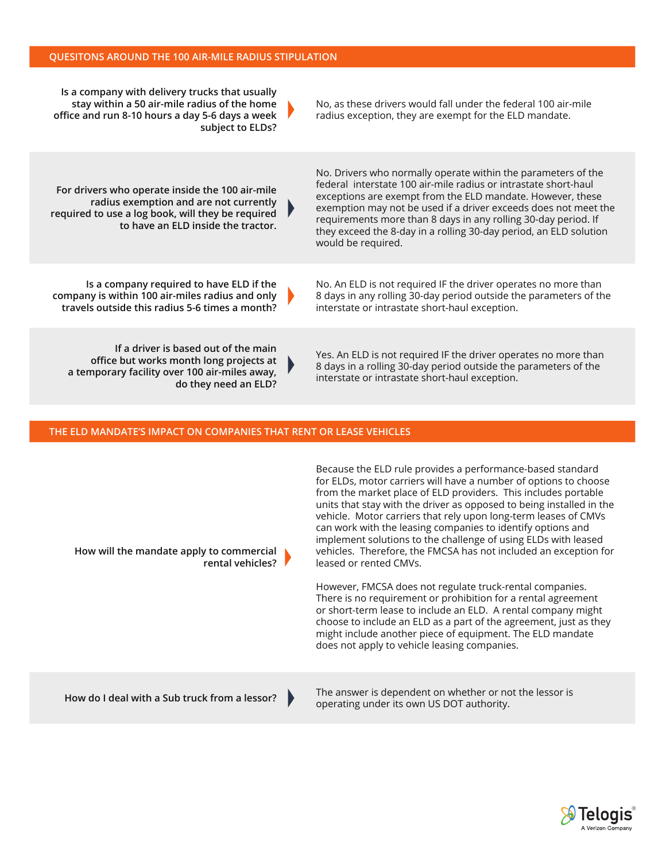| Is a company with delivery trucks that usually<br>stay within a 50 air-mile radius of the home<br>office and run 8-10 hours a day 5-6 days a week<br>subject to ELDs?                | No, as these drivers would fall under the federal 100 air-mile<br>radius exception, they are exempt for the ELD mandate.                                                                                                                                                                                                                                                                                                       |
|--------------------------------------------------------------------------------------------------------------------------------------------------------------------------------------|--------------------------------------------------------------------------------------------------------------------------------------------------------------------------------------------------------------------------------------------------------------------------------------------------------------------------------------------------------------------------------------------------------------------------------|
| For drivers who operate inside the 100 air-mile<br>radius exemption and are not currently<br>required to use a log book, will they be required<br>to have an ELD inside the tractor. | No. Drivers who normally operate within the parameters of the<br>federal interstate 100 air-mile radius or intrastate short-haul<br>exceptions are exempt from the ELD mandate. However, these<br>exemption may not be used if a driver exceeds does not meet the<br>requirements more than 8 days in any rolling 30-day period. If<br>they exceed the 8-day in a rolling 30-day period, an ELD solution<br>would be required. |
| Is a company required to have ELD if the<br>company is within 100 air-miles radius and only<br>travels outside this radius 5-6 times a month?                                        | No. An ELD is not required IF the driver operates no more than<br>8 days in any rolling 30-day period outside the parameters of the<br>interstate or intrastate short-haul exception.                                                                                                                                                                                                                                          |
| If a driver is based out of the main<br>office but works month long projects at<br>a temporary facility over 100 air-miles away,<br>do they need an ELD?                             | Yes. An ELD is not required IF the driver operates no more than<br>8 days in a rolling 30-day period outside the parameters of the<br>interstate or intrastate short-haul exception.                                                                                                                                                                                                                                           |

## **THE ELD MANDATE'S IMPACT ON COMPANIES THAT RENT OR LEASE VEHICLES**

| How will the mandate apply to commercial<br>rental vehicles? | Because the ELD rule provides a performance-based standard<br>for ELDs, motor carriers will have a number of options to choose<br>from the market place of ELD providers. This includes portable<br>units that stay with the driver as opposed to being installed in the<br>vehicle. Motor carriers that rely upon long-term leases of CMVs<br>can work with the leasing companies to identify options and<br>implement solutions to the challenge of using ELDs with leased<br>vehicles. Therefore, the FMCSA has not included an exception for<br>leased or rented CMVs.<br>However, FMCSA does not regulate truck-rental companies.<br>There is no requirement or prohibition for a rental agreement<br>or short-term lease to include an ELD. A rental company might<br>choose to include an ELD as a part of the agreement, just as they<br>might include another piece of equipment. The ELD mandate<br>does not apply to vehicle leasing companies. |
|--------------------------------------------------------------|------------------------------------------------------------------------------------------------------------------------------------------------------------------------------------------------------------------------------------------------------------------------------------------------------------------------------------------------------------------------------------------------------------------------------------------------------------------------------------------------------------------------------------------------------------------------------------------------------------------------------------------------------------------------------------------------------------------------------------------------------------------------------------------------------------------------------------------------------------------------------------------------------------------------------------------------------------|
| How do I deal with a Sub truck from a lessor?                | The answer is dependent on whether or not the lessor is<br>operating under its own US DOT authority.                                                                                                                                                                                                                                                                                                                                                                                                                                                                                                                                                                                                                                                                                                                                                                                                                                                       |

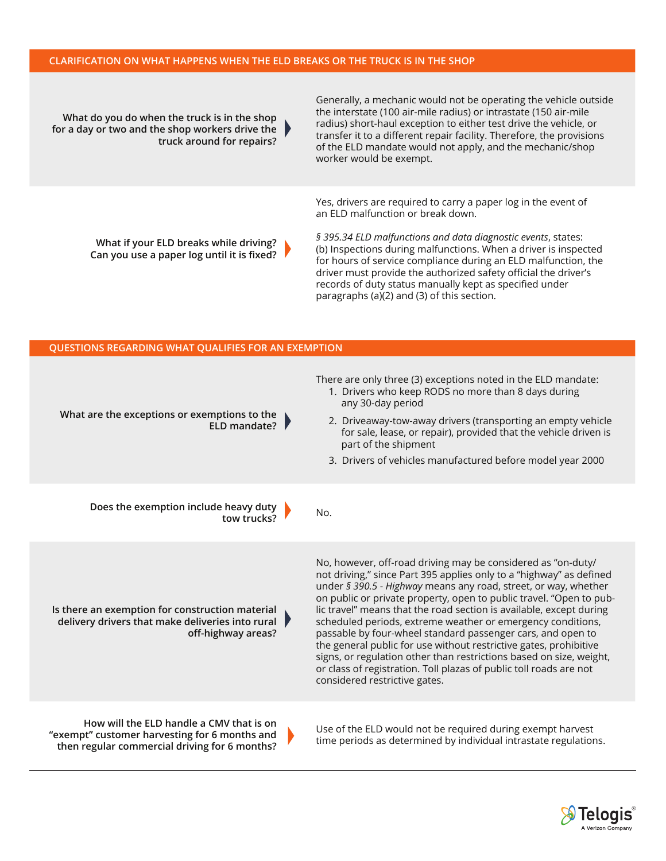#### **CLARIFICATION ON WHAT HAPPENS WHEN THE ELD BREAKS OR THE TRUCK IS IN THE SHOP**

**What do you do when the truck is in the shop for a day or two and the shop workers drive the truck around for repairs?**

Generally, a mechanic would not be operating the vehicle outside the interstate (100 air-mile radius) or intrastate (150 air-mile radius) short-haul exception to either test drive the vehicle, or transfer it to a different repair facility. Therefore, the provisions of the ELD mandate would not apply, and the mechanic/shop worker would be exempt.

Yes, drivers are required to carry a paper log in the event of an ELD malfunction or break down.

**What if your ELD breaks while driving? Can you use a paper log until it is fixed?** *§ 395.34 ELD malfunctions and data diagnostic events*, states: (b) Inspections during malfunctions. When a driver is inspected for hours of service compliance during an ELD malfunction, the driver must provide the authorized safety official the driver's records of duty status manually kept as specified under paragraphs (a)(2) and (3) of this section.

| QUESTIONS REGARDING WHAT QUALIFIES FOR AN EXEMPTION                                                                                             |                                                                                                                                                                                                                                                                                                                                                                                                                                                                                                                                                                                                                                                                                                                                       |
|-------------------------------------------------------------------------------------------------------------------------------------------------|---------------------------------------------------------------------------------------------------------------------------------------------------------------------------------------------------------------------------------------------------------------------------------------------------------------------------------------------------------------------------------------------------------------------------------------------------------------------------------------------------------------------------------------------------------------------------------------------------------------------------------------------------------------------------------------------------------------------------------------|
| What are the exceptions or exemptions to the<br>ELD mandate? $\blacktriangleright$                                                              | There are only three (3) exceptions noted in the ELD mandate:<br>1. Drivers who keep RODS no more than 8 days during<br>any 30-day period<br>2. Driveaway-tow-away drivers (transporting an empty vehicle<br>for sale, lease, or repair), provided that the vehicle driven is<br>part of the shipment<br>3. Drivers of vehicles manufactured before model year 2000                                                                                                                                                                                                                                                                                                                                                                   |
| Does the exemption include heavy duty $\blacksquare$<br>tow trucks?                                                                             | No.                                                                                                                                                                                                                                                                                                                                                                                                                                                                                                                                                                                                                                                                                                                                   |
| Is there an exemption for construction material<br>delivery drivers that make deliveries into rural $\blacktriangleright$<br>off-highway areas? | No, however, off-road driving may be considered as "on-duty/<br>not driving," since Part 395 applies only to a "highway" as defined<br>under § 390.5 - Highway means any road, street, or way, whether<br>on public or private property, open to public travel. "Open to pub-<br>lic travel" means that the road section is available, except during<br>scheduled periods, extreme weather or emergency conditions,<br>passable by four-wheel standard passenger cars, and open to<br>the general public for use without restrictive gates, prohibitive<br>signs, or regulation other than restrictions based on size, weight,<br>or class of registration. Toll plazas of public toll roads are not<br>considered restrictive gates. |
| How will the ELD handle a CMV that is on<br>"exempt" customer harvesting for 6 months and<br>then regular commercial driving for 6 months?      | Use of the ELD would not be required during exempt harvest<br>time periods as determined by individual intrastate regulations.                                                                                                                                                                                                                                                                                                                                                                                                                                                                                                                                                                                                        |